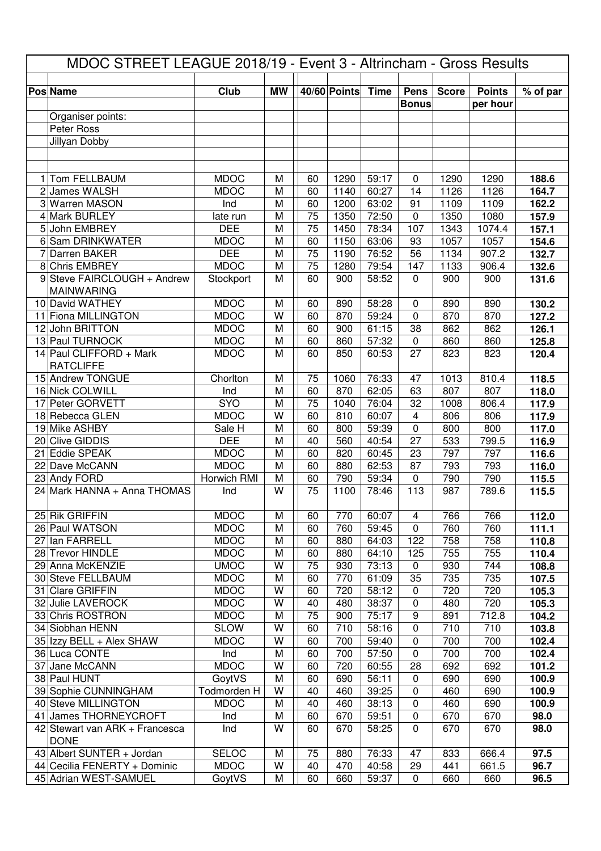| MDOC STREET LEAGUE 2018/19 - Event 3 - Altrincham - Gross Results |                                |              |           |                 |              |             |              |              |               |                |
|-------------------------------------------------------------------|--------------------------------|--------------|-----------|-----------------|--------------|-------------|--------------|--------------|---------------|----------------|
|                                                                   | <b>Pos Name</b>                | Club         | <b>MW</b> |                 | 40/60 Points | <b>Time</b> | Pens         | <b>Score</b> | <b>Points</b> | % of par       |
|                                                                   |                                |              |           |                 |              |             | <b>Bonus</b> |              | per hour      |                |
|                                                                   | Organiser points:              |              |           |                 |              |             |              |              |               |                |
|                                                                   | Peter Ross                     |              |           |                 |              |             |              |              |               |                |
|                                                                   | Jillyan Dobby                  |              |           |                 |              |             |              |              |               |                |
|                                                                   |                                |              |           |                 |              |             |              |              |               |                |
|                                                                   |                                |              |           |                 |              |             |              |              |               |                |
| 1.                                                                | Tom FELLBAUM                   | <b>MDOC</b>  | M         | 60              | 1290         | 59:17       | $\mathbf 0$  | 1290         | 1290          | 188.6          |
|                                                                   | 2 James WALSH                  | <b>MDOC</b>  | M         | 60              | 1140         | 60:27       | 14           | 1126         | 1126          | 164.7          |
|                                                                   | 3 Warren MASON                 | Ind          | M         | 60              | 1200         | 63:02       | 91           | 1109         | 1109          | 162.2          |
|                                                                   | 4 Mark BURLEY                  | late run     | M         | 75              | 1350         | 72:50       | $\mathbf 0$  | 1350         | 1080          | 157.9          |
|                                                                   | 5 John EMBREY                  | <b>DEE</b>   | M         | 75              | 1450         | 78:34       | 107          | 1343         | 1074.4        | 157.1          |
|                                                                   | 6 Sam DRINKWATER               | <b>MDOC</b>  | M         | 60              | 1150         | 63:06       | 93           | 1057         | 1057          | 154.6          |
| 7                                                                 | <b>Darren BAKER</b>            | <b>DEE</b>   | M         | 75              | 1190         | 76:52       | 56           | 1134         | 907.2         | 132.7          |
|                                                                   | 8 Chris EMBREY                 | <b>MDOC</b>  | M         | $\overline{75}$ | 1280         | 79:54       | 147          | 1133         | 906.4         | 132.6          |
|                                                                   | 9 Steve FAIRCLOUGH + Andrew    | Stockport    | M         | 60              | 900          | 58:52       | $\mathbf 0$  | 900          | 900           | 131.6          |
|                                                                   | <b>MAINWARING</b>              |              |           |                 |              |             |              |              |               |                |
|                                                                   | 10 David WATHEY                | <b>MDOC</b>  | M         | 60              | 890          | 58:28       | $\mathbf 0$  | 890          | 890           | 130.2          |
|                                                                   | 11 Fiona MILLINGTON            | <b>MDOC</b>  | W         | 60              | 870          | 59:24       | $\mathbf 0$  | 870          | 870           | 127.2          |
|                                                                   | 12 John BRITTON                | <b>MDOC</b>  | M         | 60              | 900          | 61:15       | 38           | 862          | 862           | 126.1          |
|                                                                   | 13 Paul TURNOCK                | <b>MDOC</b>  | M         | 60              | 860          | 57:32       | $\pmb{0}$    | 860          | 860           | 125.8          |
|                                                                   | 14 Paul CLIFFORD + Mark        | <b>MDOC</b>  | M         | 60              | 850          | 60:53       | 27           | 823          | 823           | 120.4          |
|                                                                   | <b>RATCLIFFE</b>               |              |           |                 |              |             |              |              |               |                |
|                                                                   | 15 Andrew TONGUE               | Chorlton     | M         | 75              | 1060         | 76:33       | 47           | 1013         | 810.4         | 118.5          |
|                                                                   | 16 Nick COLWILL                | Ind          | M         | 60              | 870          | 62:05       | 63           | 807          | 807           | 118.0          |
|                                                                   | 17 Peter GORVETT               | SYO          | M         | 75              | 1040         | 76:04       | 32           | 1008         | 806.4         | 117.9          |
|                                                                   | 18 Rebecca GLEN                | <b>MDOC</b>  | W         | 60              | 810          | 60:07       | 4            | 806          | 806           | 117.9          |
|                                                                   | 19 Mike ASHBY                  | Sale H       | M         | 60              | 800          | 59:39       | $\mathbf 0$  | 800          | 800           | 117.0          |
|                                                                   | 20 Clive GIDDIS                | <b>DEE</b>   | M         | 40              | 560          | 40:54       | 27           | 533          | 799.5         | 116.9          |
|                                                                   | 21 Eddie SPEAK                 | <b>MDOC</b>  | M         | 60              | 820          | 60:45       | 23           | 797          | 797           | 116.6          |
|                                                                   | 22 Dave McCANN                 | <b>MDOC</b>  | M         | 60              | 880          | 62:53       | 87           | 793          | 793           | 116.0          |
|                                                                   | 23 Andy FORD                   | Horwich RMI  | M<br>W    | 60              | 790          | 59:34       | $\mathbf 0$  | 790          | 790           | 115.5          |
|                                                                   | 24 Mark HANNA + Anna THOMAS    | Ind          |           | 75              | 1100         | 78:46       | 113          | 987          | 789.6         | 115.5          |
|                                                                   | 25 Rik GRIFFIN                 | <b>MDOC</b>  | M         | 60              | 770          | 60:07       | 4            | 766          | 766           |                |
|                                                                   | 26 Paul WATSON                 | <b>MDOC</b>  | M         | 60              | 760          | 59:45       | 0            | 760          | 760           | 112.0<br>111.1 |
| 27                                                                | lan FARRELL                    | <b>MDOC</b>  | M         | 60              | 880          | 64:03       | 122          | 758          | 758           | 110.8          |
|                                                                   | 28 Trevor HINDLE               | <b>MDOC</b>  | M         | 60              | 880          | 64:10       | 125          | 755          | 755           | 110.4          |
|                                                                   | 29 Anna McKENZIE               | <b>UMOC</b>  | W         | 75              | 930          | 73:13       | 0            | 930          | 744           | 108.8          |
|                                                                   | 30 Steve FELLBAUM              | <b>MDOC</b>  | M         | 60              | 770          | 61:09       | 35           | 735          | 735           | 107.5          |
|                                                                   | 31 Clare GRIFFIN               | <b>MDOC</b>  | W         | 60              | 720          | 58:12       | 0            | 720          | 720           | 105.3          |
|                                                                   | 32 Julie LAVEROCK              | <b>MDOC</b>  | W         | 40              | 480          | 38:37       | 0            | 480          | 720           | 105.3          |
|                                                                   | 33 Chris ROSTRON               | <b>MDOC</b>  | M         | 75              | 900          | 75:17       | 9            | 891          | 712.8         | 104.2          |
|                                                                   | 34 Siobhan HENN                | <b>SLOW</b>  | W         | 60              | 710          | 58:16       | 0            | 710          | 710           | 103.8          |
|                                                                   | 35 Izzy BELL + Alex SHAW       | <b>MDOC</b>  | W         | 60              | 700          | 59:40       | 0            | 700          | 700           | 102.4          |
|                                                                   | 36 Luca CONTE                  | Ind          | M         | 60              | 700          | 57:50       | $\pmb{0}$    | 700          | 700           | 102.4          |
|                                                                   | 37 Jane McCANN                 | <b>MDOC</b>  | W         | 60              | 720          | 60:55       | 28           | 692          | 692           | 101.2          |
|                                                                   | 38 Paul HUNT                   | GoytVS       | M         | 60              | 690          | 56:11       | 0            | 690          | 690           | 100.9          |
|                                                                   | 39 Sophie CUNNINGHAM           | Todmorden H  | W         | 40              | 460          | 39:25       | 0            | 460          | 690           | 100.9          |
|                                                                   | 40 Steve MILLINGTON            | <b>MDOC</b>  | M         | 40              | 460          | 38:13       | 0            | 460          | 690           | 100.9          |
|                                                                   | 41 James THORNEYCROFT          | Ind          | M         | 60              | 670          | 59:51       | 0            | 670          | 670           | 98.0           |
|                                                                   | 42 Stewart van ARK + Francesca | Ind          | W         | 60              | 670          | 58:25       | 0            | 670          | 670           | 98.0           |
|                                                                   | <b>DONE</b>                    |              |           |                 |              |             |              |              |               |                |
|                                                                   | 43 Albert SUNTER + Jordan      | <b>SELOC</b> | M         | 75              | 880          | 76:33       | 47           | 833          | 666.4         | 97.5           |
|                                                                   | 44 Cecilia FENERTY + Dominic   | <b>MDOC</b>  | W         | 40              | 470          | 40:58       | 29           | 441          | 661.5         | 96.7           |
|                                                                   | 45 Adrian WEST-SAMUEL          | GoytVS       | M         | 60              | 660          | 59:37       | 0            | 660          | 660           | 96.5           |